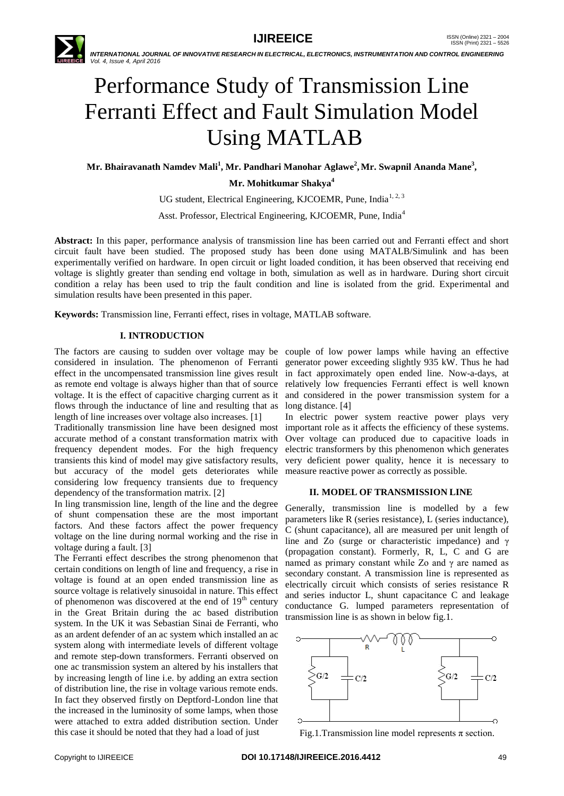

 *INTERNATIONAL JOURNAL OF INNOVATIVE RESEARCH IN ELECTRICAL, ELECTRONICS, INSTRUMENTATION AND CONTROL ENGINEERING Vol. 4, Issue 4, April 2016*

# Performance Study of Transmission Line Ferranti Effect and Fault Simulation Model Using MATLAB

**Mr. Bhairavanath Namdev Mali<sup>1</sup> , Mr. Pandhari Manohar Aglawe<sup>2</sup> , Mr. Swapnil Ananda Mane<sup>3</sup> ,**

**Mr. Mohitkumar Shakya<sup>4</sup>**

UG student, Electrical Engineering, KJCOEMR, Pune, India<sup>1, 2, 3</sup>

Asst. Professor, Electrical Engineering, KJCOEMR, Pune, India<sup>4</sup>

**Abstract:** In this paper, performance analysis of transmission line has been carried out and Ferranti effect and short circuit fault have been studied. The proposed study has been done using MATALB/Simulink and has been experimentally verified on hardware. In open circuit or light loaded condition, it has been observed that receiving end voltage is slightly greater than sending end voltage in both, simulation as well as in hardware. During short circuit condition a relay has been used to trip the fault condition and line is isolated from the grid. Experimental and simulation results have been presented in this paper.

**Keywords:** Transmission line, Ferranti effect, rises in voltage, MATLAB software.

# **I. INTRODUCTION**

The factors are causing to sudden over voltage may be couple of low power lamps while having an effective considered in insulation. The phenomenon of Ferranti generator power exceeding slightly 935 kW. Thus he had effect in the uncompensated transmission line gives result in fact approximately open ended line. Now-a-days, at as remote end voltage is always higher than that of source relatively low frequencies Ferranti effect is well known voltage. It is the effect of capacitive charging current as it and considered in the power transmission system for a flows through the inductance of line and resulting that as long distance. [4] length of line increases over voltage also increases. [1]

Traditionally transmission line have been designed most important role as it affects the efficiency of these systems. accurate method of a constant transformation matrix with frequency dependent modes. For the high frequency transients this kind of model may give satisfactory results, very deficient power quality, hence it is necessary to but accuracy of the model gets deteriorates while measure reactive power as correctly as possible. considering low frequency transients due to frequency dependency of the transformation matrix. [2]

In ling transmission line, length of the line and the degree of shunt compensation these are the most important factors. And these factors affect the power frequency voltage on the line during normal working and the rise in voltage during a fault. [3]

The Ferranti effect describes the strong phenomenon that certain conditions on length of line and frequency, a rise in voltage is found at an open ended transmission line as source voltage is relatively sinusoidal in nature. This effect of phenomenon was discovered at the end of  $19<sup>th</sup>$  century in the Great Britain during the ac based distribution system. In the UK it was Sebastian Sinai de Ferranti, who as an ardent defender of an ac system which installed an ac system along with intermediate levels of different voltage and remote step-down transformers. Ferranti observed on one ac transmission system an altered by his installers that by increasing length of line i.e. by adding an extra section of distribution line, the rise in voltage various remote ends. In fact they observed firstly on Deptford-London line that the increased in the luminosity of some lamps, when those were attached to extra added distribution section. Under this case it should be noted that they had a load of just

In electric power system reactive power plays very Over voltage can produced due to capacitive loads in electric transformers by this phenomenon which generates

# **II. MODEL OF TRANSMISSION LINE**

Generally, transmission line is modelled by a few parameters like R (series resistance), L (series inductance), C (shunt capacitance), all are measured per unit length of line and Zo (surge or characteristic impedance) and γ (propagation constant). Formerly, R, L, C and G are named as primary constant while Zo and γ are named as secondary constant. A transmission line is represented as electrically circuit which consists of series resistance R and series inductor L, shunt capacitance C and leakage conductance G. lumped parameters representation of transmission line is as shown in below fig.1.



Fig.1.Transmission line model represents  $\pi$  section.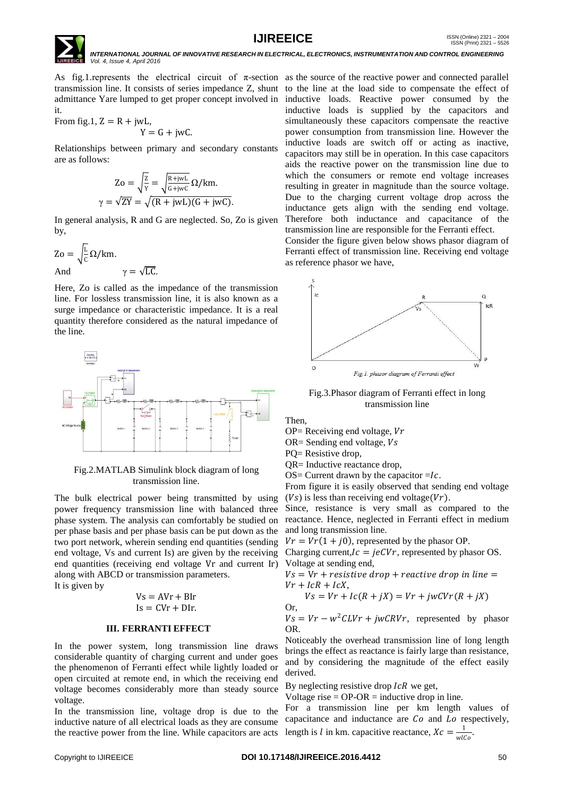



 *INTERNATIONAL JOURNAL OF INNOVATIVE RESEARCH IN ELECTRICAL, ELECTRONICS, INSTRUMENTATION AND CONTROL ENGINEERING Vol. 4, Issue 4, April 2016*

As fig.1. represents the electrical circuit of  $\pi$ -section as the source of the reactive power and connected parallel transmission line. It consists of series impedance Z, shunt to the line at the load side to compensate the effect of admittance Yare lumped to get proper concept involved in inductive loads. Reactive power consumed by the it.

From fig.1, 
$$
Z = R + jwL
$$
,  
  $Y = G + jwC$ .

Relationships between primary and secondary constants are as follows:

$$
Zo = \sqrt{\frac{z}{Y}} = \sqrt{\frac{R + jwL}{G + jwC}} \Omega/km.
$$

$$
\gamma = \sqrt{ZY} = \sqrt{(R + jwL)(G + jwC)}.
$$

In general analysis, R and G are neglected. So, Zo is given by,

$$
Zo = \sqrt{\frac{L}{c}} Ω/km.
$$
  
And  $γ = \sqrt{LC}.$ 

Here, Zo is called as the impedance of the transmission line. For lossless transmission line, it is also known as a surge impedance or characteristic impedance. It is a real quantity therefore considered as the natural impedance of the line.



Fig.2.MATLAB Simulink block diagram of long transmission line.

The bulk electrical power being transmitted by using power frequency transmission line with balanced three phase system. The analysis can comfortably be studied on per phase basis and per phase basis can be put down as the two port network, wherein sending end quantities (sending end voltage, Vs and current Is) are given by the receiving end quantities (receiving end voltage Vr and current Ir) Voltage at sending end, along with ABCD or transmission parameters.

It is given by

$$
Vs = AVr + Blr
$$

$$
Is = CVr + Dlr.
$$

# **III. FERRANTI EFFECT**

In the power system, long transmission line draws considerable quantity of charging current and under goes the phenomenon of Ferranti effect while lightly loaded or open circuited at remote end, in which the receiving end voltage becomes considerably more than steady source voltage.

In the transmission line, voltage drop is due to the inductive nature of all electrical loads as they are consume the reactive power from the line. While capacitors are acts

inductive loads is supplied by the capacitors and simultaneously these capacitors compensate the reactive power consumption from transmission line. However the inductive loads are switch off or acting as inactive, capacitors may still be in operation. In this case capacitors aids the reactive power on the transmission line due to which the consumers or remote end voltage increases resulting in greater in magnitude than the source voltage. Due to the charging current voltage drop across the inductance gets align with the sending end voltage. Therefore both inductance and capacitance of the transmission line are responsible for the Ferranti effect. Consider the figure given below shows phasor diagram of Ferranti effect of transmission line. Receiving end voltage



Fig.3.Phasor diagram of Ferranti effect in long transmission line

Then,

Or,

 $OP = Receiving$  end voltage,  $Vr$ 

 $OR =$  Sending end voltage,  $Vs$ 

as reference phasor we have,

PO= Resistive drop,

QR= Inductive reactance drop,

OS= Current drawn by the capacitor  $=$  Ic.

From figure it is easily observed that sending end voltage  $(Vs)$  is less than receiving end voltage( $Vr$ ).

Since, resistance is very small as compared to the reactance. Hence, neglected in Ferranti effect in medium and long transmission line.

 $Vr = Vr(1 + i0)$ , represented by the phasor OP.

Charging current,  $Ic = jeCVr$ , represented by phasor OS.

 $Vs = Vr + resistive drop + reactive drop in line =$  $Vr + IcR + IcX,$ 

$$
Vs = Vr + lc(R + jX) = Vr + jwCVr(R + jX)
$$

$$
Vs = Vr - w2CLVr + jwCRVr, represented by phasor OR.
$$

Noticeably the overhead transmission line of long length brings the effect as reactance is fairly large than resistance, and by considering the magnitude of the effect easily derived.

By neglecting resistive drop  $\textit{lcR}$  we get,

Voltage rise  $=$  OP-OR  $=$  inductive drop in line.

For a transmission line per km length values of capacitance and inductance are  $Co$  and  $Lo$  respectively, length is *l* in km. capacitive reactance,  $Xc = \frac{1}{m}$  $\frac{1}{wlCo}$ .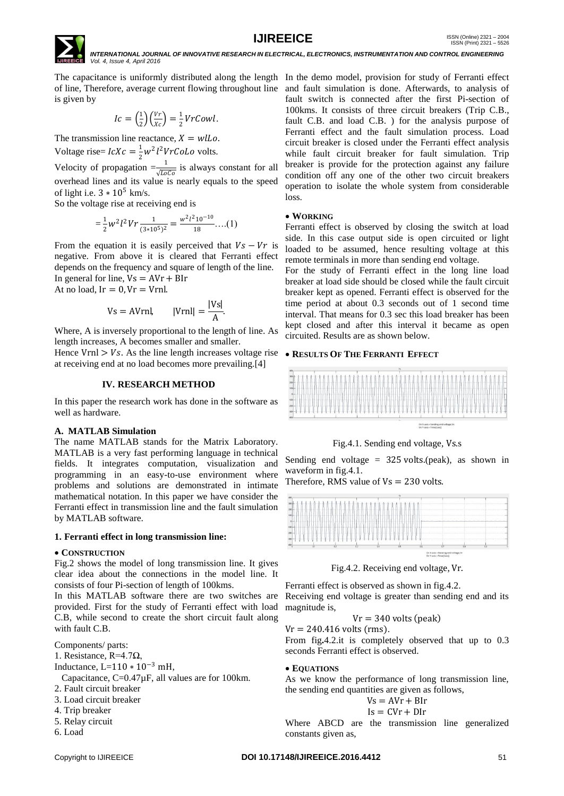

The capacitance is uniformly distributed along the length In the demo model, provision for study of Ferranti effect of line, Therefore, average current flowing throughout line and fault simulation is done. Afterwards, to analysis of is given by

$$
Ic = \left(\frac{1}{2}\right)\left(\frac{Vr}{Xc}\right) = \frac{1}{2}VrCowl.
$$

The transmission line reactance,  $X = wlLo$ . Voltage rise=  $lcXc = \frac{1}{2}$  $\frac{1}{2}w^2l^2VrColq$  volts.

Velocity of propagation  $=\frac{1}{\sqrt{LoCo}}$  is always constant for all overhead lines and its value is nearly equals to the speed of light i.e.  $3 * 10^5$  km/s.

So the voltage rise at receiving end is

$$
=\frac{1}{2}w^2l^2Vr\frac{1}{(3*10^5)^2}=\frac{w^2l^210^{-10}}{18}...(1)
$$

From the equation it is easily perceived that  $Vs - Vr$  is negative. From above it is cleared that Ferranti effect depends on the frequency and square of length of the line. In general for line,  $Vs = AVr + BIr$ 

At no load,  $Ir = 0$ ,  $Vr = Vr$ nl.

$$
Vs = AVrnl, \qquad |Vrnl| = \frac{|Vs|}{A}.
$$

Where, A is inversely proportional to the length of line. As length increases, A becomes smaller and smaller.

Hence Vrnl  $>$  Vs. As the line length increases voltage rise at receiving end at no load becomes more prevailing.[4]

# **IV. RESEARCH METHOD**

In this paper the research work has done in the software as well as hardware.

# **A. MATLAB Simulation**

The name MATLAB stands for the Matrix Laboratory. MATLAB is a very fast performing language in technical fields. It integrates computation, visualization and programming in an easy-to-use environment where problems and solutions are demonstrated in intimate mathematical notation. In this paper we have consider the Ferranti effect in transmission line and the fault simulation by MATLAB software.

# **1. Ferranti effect in long transmission line:**

# **CONSTRUCTION**

Fig.2 shows the model of long transmission line. It gives clear idea about the connections in the model line. It consists of four Pi-section of length of 100kms.

In this MATLAB software there are two switches are Receiving end voltage is greater than sending end and its provided. First for the study of Ferranti effect with load C.B, while second to create the short circuit fault along with fault C.B.

Components/ parts:

- 1. Resistance, R=4.7Ω,
- Inductance, L=110 ∗ 10<sup>−</sup><sup>3</sup> mH,
- Capacitance, C=0.47µF, all values are for 100km.
- 2. Fault circuit breaker
- 3. Load circuit breaker
- 4. Trip breaker
- 5. Relay circuit
- 6. Load

fault switch is connected after the first Pi-section of 100kms. It consists of three circuit breakers (Trip C.B., fault C.B. and load C.B. ) for the analysis purpose of Ferranti effect and the fault simulation process. Load circuit breaker is closed under the Ferranti effect analysis while fault circuit breaker for fault simulation. Trip breaker is provide for the protection against any failure condition off any one of the other two circuit breakers operation to isolate the whole system from considerable loss. **WORKING**

Ferranti effect is observed by closing the switch at load side. In this case output side is open circuited or light loaded to be assumed, hence resulting voltage at this remote terminals in more than sending end voltage.

For the study of Ferranti effect in the long line load breaker at load side should be closed while the fault circuit breaker kept as opened. Ferranti effect is observed for the time period at about 0.3 seconds out of 1 second time interval. That means for 0.3 sec this load breaker has been kept closed and after this interval it became as open circuited. Results are as shown below.

# **RESULTS OF THE FERRANTI EFFECT**



Fig.4.1. Sending end voltage, Vs.s

Sending end voltage =  $325$  volts.(peak), as shown in waveform in fig.4.1.

Therefore, RMS value of  $Vs = 230$  volts.



Fig.4.2. Receiving end voltage, Vr.

Ferranti effect is observed as shown in fig.4.2. magnitude is,

$$
Vr = 340 \text{ volts (peak)}
$$

 $V = 240.416$  volts (rms).

From fig**.**4.2.it is completely observed that up to 0.3 seconds Ferranti effect is observed.

# **EQUATIONS**

As we know the performance of long transmission line, the sending end quantities are given as follows,

$$
Vs = AVr + Blr
$$

 $Is = Cvr + Dir$ 

Where ABCD are the transmission line generalized constants given as,